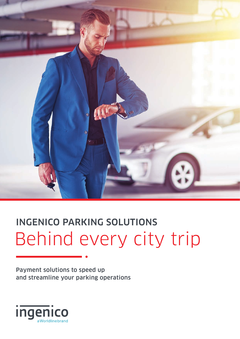

# INGENICO PARKING SOLUTIONS Behind every city trip

Payment solutions to speed up and streamline your parking operations

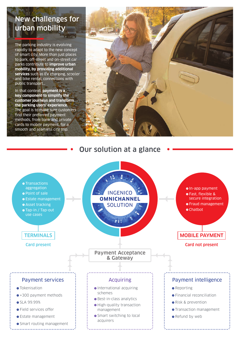## New challenges for urban mobility

The parking industry is evolving rapidly to adapt to the new concept of smart city. More than just places to park, off-street and on-street car parks contribute to **improve urban mobility, by providing additional services** such as EV charging, scooter and bike rental, connections with public transport…

In that context, **payment is a key component to simplify the customer journeys and transform the parking users' experience**. The goal is to make sure customers find their preferred payment methods, from bank and private cards to mobile payment, for a smooth and seamless city trip.



#### Our solution at a glance

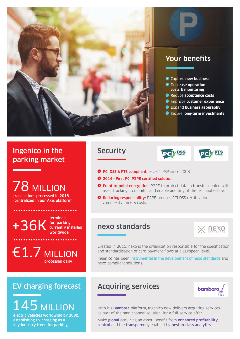

## Your benefits

- Capture **new business**
- **<sup>2</sup>** Decrease **operation costs & monitoring**
- **•** Reduce acceptance costs
- **<sup>2</sup>** Improve customer experience
- **•** Expand business geography
- **•** Secure **long-term investments**

### Ingenico in the parking market

78 MILLION transactions processed in 2018

(centralized in our Axis platform)

+36K for parking terminals worldwide

. . . . . . . . . . . . . . . . .

currently installed

€1.7 MILLION processed daily

## EV charging forecast

# 145 MILLION

electric vehicles worldwide by 2030, establishing EV charging as a key industry trend for parking

#### **Security**





- **PCI DSS & PTS compliant:** Level 1 PSP since 2008
- <sup>2</sup> 2014 First PCI P2PE certified solution
- **Point-to-point encryption:** P2PE to protect data in transit, coupled with asset tracking, to monitor and enable auditing of the terminal estate.
- **P** Reducing responsibility: P2PE reduces PCI DSS certification complexity, time & costs.

#### nexo standards



Created in 2015, nexo is the organisation responsible for the specification and standardisation of card payment flows at a European level.

Ingenico has been instrumental in the development of nexo standards and nexo-compliant solutions.

### Acquiring services



With it's **Bambora** platform, Ingenico now delivers acquiring services as part of the omnichannel solution, for a full-service offer.

Make global acquiring an asset. Benefit from enhanced profitability, control and the transparency enabled by best-in-class analytics.